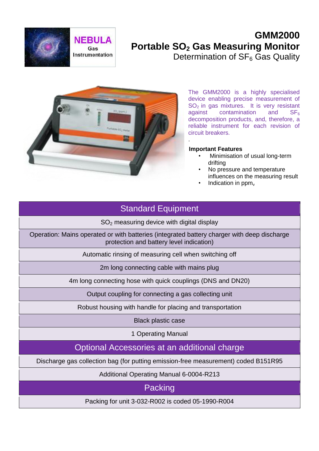

# **GMM2000 Portable SO<sup>2</sup> Gas Measuring Monitor** Determination of  $SF<sub>6</sub>$  Gas Quality



The GMM2000 is a highly specialised device enabling precise measurement of  $SO_2$  in gas mixtures. It is very resistant<br>against contamination and  $SF_6$ against contamination and  $SF<sub>6</sub>$ decomposition products, and, therefore, a reliable instrument for each revision of circuit breakers.

#### **Important Features**

.

- Minimisation of usual long-term drifting
- No pressure and temperature influences on the measuring result
- Indication in  $ppm_v$

## Standard Equipment

 $SO<sub>2</sub>$  measuring device with digital display

Operation: Mains operated or with batteries (integrated battery charger with deep discharge protection and battery level indication)

Automatic rinsing of measuring cell when switching off

2m long connecting cable with mains plug

4m long connecting hose with quick couplings (DNS and DN20)

Output coupling for connecting a gas collecting unit

Robust housing with handle for placing and transportation

Black plastic case

1 Operating Manual

Optional Accessories at an additional charge

Discharge gas collection bag (for putting emission-free measurement) coded B151R95

Additional Operating Manual 6-0004-R213

**Packing** 

Packing for unit 3-032-R002 is coded 05-1990-R004